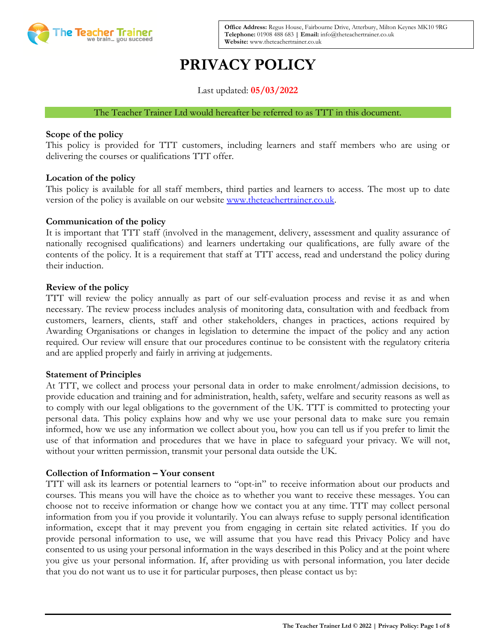

**Office Address:** Regus House, Fairbourne Drive, Atterbury, Milton Keynes MK10 9RG **Telephone:** 01908 488 683 **| Email:** info@theteachertrainer.co.uk **Website:** www.theteachertrainer.co.uk

# **PRIVACY POLICY**

Last updated: **05/03/2022**

## The Teacher Trainer Ltd would hereafter be referred to as TTT in this document.

# **Scope of the policy**

This policy is provided for TTT customers, including learners and staff members who are using or delivering the courses or qualifications TTT offer.

# **Location of the policy**

This policy is available for all staff members, third parties and learners to access. The most up to date version of the policy is available on our website [www.theteachertrainer.co.uk.](http://www.theteachertrainer.co.uk/)

## **Communication of the policy**

It is important that TTT staff (involved in the management, delivery, assessment and quality assurance of nationally recognised qualifications) and learners undertaking our qualifications, are fully aware of the contents of the policy. It is a requirement that staff at TTT access, read and understand the policy during their induction.

# **Review of the policy**

TTT will review the policy annually as part of our self-evaluation process and revise it as and when necessary. The review process includes analysis of monitoring data, consultation with and feedback from customers, learners, clients, staff and other stakeholders, changes in practices, actions required by Awarding Organisations or changes in legislation to determine the impact of the policy and any action required. Our review will ensure that our procedures continue to be consistent with the regulatory criteria and are applied properly and fairly in arriving at judgements.

## **Statement of Principles**

At TTT, we collect and process your personal data in order to make enrolment/admission decisions, to provide education and training and for administration, health, safety, welfare and security reasons as well as to comply with our legal obligations to the government of the UK. TTT is committed to protecting your personal data. This policy explains how and why we use your personal data to make sure you remain informed, how we use any information we collect about you, how you can tell us if you prefer to limit the use of that information and procedures that we have in place to safeguard your privacy. We will not, without your written permission, transmit your personal data outside the UK.

## **[Collection of Information](javascript:void(0);) – Your consent**

TTT will ask its learners or potential learners to "opt-in" to receive information about our products and courses. This means you will have the choice as to whether you want to receive these messages. You can choose not to receive information or change how we contact you at any time. TTT may collect personal information from you if you provide it voluntarily. You can always refuse to supply personal identification information, except that it may prevent you from engaging in certain site related activities. If you do provide personal information to use, we will assume that you have read this Privacy Policy and have consented to us using your personal information in the ways described in this Policy and at the point where you give us your personal information. If, after providing us with personal information, you later decide that you do not want us to use it for particular purposes, then please contact us by: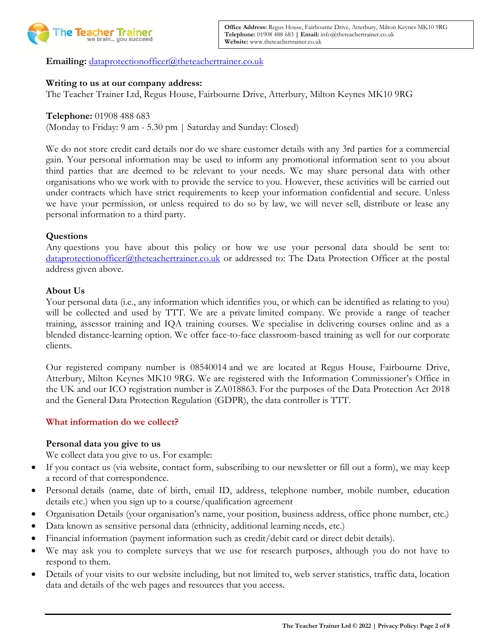

Emailing: [dataprotectionofficer@theteachertrainer.co.uk](mailto:dataprotectionofficer@theteachertrainer.co.uk)

# **Writing to us at our company address:**

The Teacher Trainer Ltd, Regus House, Fairbourne Drive, Atterbury, Milton Keynes MK10 9RG

**Telephone:** 01908 488 683

(Monday to Friday: 9 am - 5.30 pm | Saturday and Sunday: Closed)

We do not store credit card details nor do we share customer details with any 3rd parties for a commercial gain. Your personal information may be used to inform any promotional information sent to you about third parties that are deemed to be relevant to your needs. We may share personal data with other organisations who we work with to provide the service to you. However, these activities will be carried out under contracts which have strict requirements to keep your information confidential and secure. Unless we have your permission, or unless required to do so by law, we will never sell, distribute or lease any personal information to a third party.

# **Questions**

Any questions you have about this policy or how we use your personal data should be sent to: [dataprotectionofficer@theteachertrainer.co.uk](mailto:dataprotectionofficer@theteachertrainer.co.uk) or addressed to: The Data Protection Officer at the postal address given above.

# **About Us**

Your personal data (i.e., any information which identifies you, or which can be identified as relating to you) will be collected and used by TTT. We are a private limited company. We provide a range of teacher training, assessor training and IQA training courses. We specialise in delivering courses online and as a blended distance-learning option. We offer face-to-face classroom-based training as well for our corporate clients.

Our registered company number is 08540014 and we are located at Regus House, Fairbourne Drive, Atterbury, Milton Keynes MK10 9RG. We are registered with the Information Commissioner's Office in the UK and our ICO registration number is ZA018863. For the purposes of the Data Protection Act 2018 and the General Data Protection Regulation (GDPR), the data controller is TTT.

## **What information do we collect?**

## **Personal data you give to us**

We collect data you give to us. For example:

- If you contact us (via website, contact form, subscribing to our newsletter or fill out a form), we may keep a record of that correspondence.
- Personal details (name, date of birth, email ID, address, telephone number, mobile number, education details etc.) when you sign up to a course/qualification agreement
- Organisation Details (your organisation's name, your position, business address, office phone number, etc.)
- Data known as sensitive personal data (ethnicity, additional learning needs, etc.)
- Financial information (payment information such as credit/debit card or direct debit details).
- We may ask you to complete surveys that we use for research purposes, although you do not have to respond to them.
- Details of your visits to our website including, but not limited to, web server statistics, traffic data, location data and details of the web pages and resources that you access.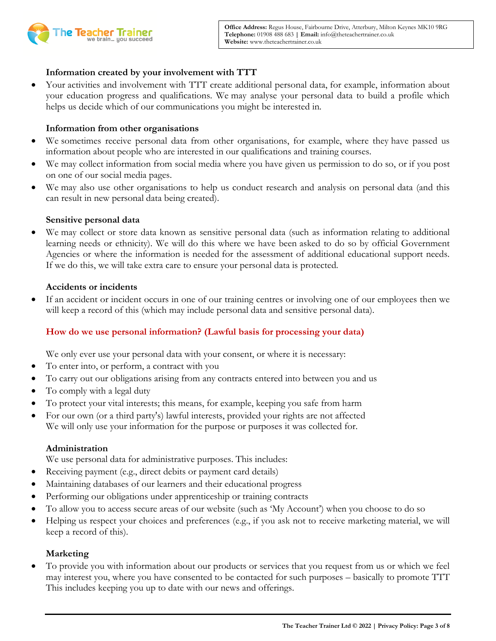

# **Information created by your involvement with TTT**

• Your activities and involvement with TTT create additional personal data, for example, information about your education progress and qualifications. We may analyse your personal data to build a profile which helps us decide which of our communications you might be interested in.

# **Information from other organisations**

- We sometimes receive personal data from other organisations, for example, where they have passed us information about people who are interested in our qualifications and training courses.
- We may collect information from social media where you have given us permission to do so, or if you post on one of our social media pages.
- We may also use other organisations to help us conduct research and analysis on personal data (and this can result in new personal data being created).

## **Sensitive personal data**

• We may collect or store data known as sensitive personal data (such as information relating to additional learning needs or ethnicity). We will do this where we have been asked to do so by official Government Agencies or where the information is needed for the assessment of additional educational support needs. If we do this, we will take extra care to ensure your personal data is protected.

## **Accidents or incidents**

If an accident or incident occurs in one of our training centres or involving one of our employees then we will keep a record of this (which may include personal data and sensitive personal data).

# **How do we use personal information? (Lawful basis for processing your data)**

We only ever use your personal data with your consent, or where it is necessary:

- To enter into, or perform, a contract with you
- To carry out our obligations arising from any contracts entered into between you and us
- To comply with a legal duty
- To protect your vital interests; this means, for example, keeping you safe from harm
- For our own (or a third party's) lawful interests, provided your rights are not affected We will only use your information for the purpose or purposes it was collected for.

## **Administration**

We use personal data for administrative purposes. This includes:

- Receiving payment (e.g., direct debits or payment card details)
- Maintaining databases of our learners and their educational progress
- Performing our obligations under apprenticeship or training contracts
- To allow you to access secure areas of our website (such as 'My Account') when you choose to do so
- Helping us respect your choices and preferences (e.g., if you ask not to receive marketing material, we will keep a record of this).

## **Marketing**

• To provide you with information about our products or services that you request from us or which we feel may interest you, where you have consented to be contacted for such purposes – basically to promote TTT This includes keeping you up to date with our news and offerings.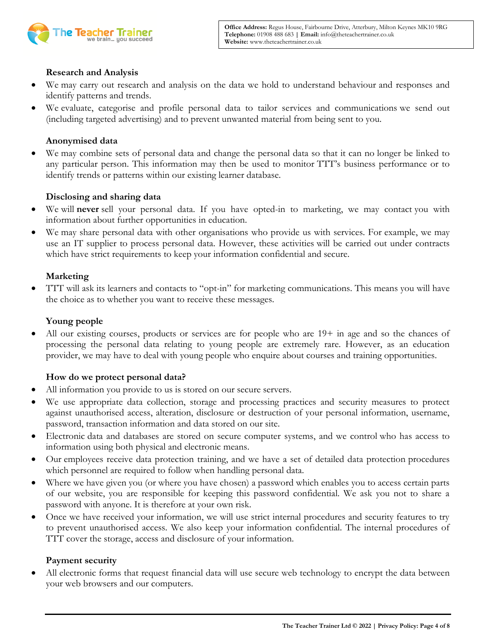

# **Research and Analysis**

- We may carry out research and analysis on the data we hold to understand behaviour and responses and identify patterns and trends.
- We evaluate, categorise and profile personal data to tailor services and communications we send out (including targeted advertising) and to prevent unwanted material from being sent to you.

# **Anonymised data**

• We may combine sets of personal data and change the personal data so that it can no longer be linked to any particular person. This information may then be used to monitor TTT's business performance or to identify trends or patterns within our existing learner database.

# **Disclosing and sharing data**

- We will **never** sell your personal data. If you have opted-in to marketing, we may contact you with information about further opportunities in education.
- We may share personal data with other organisations who provide us with services. For example, we may use an IT supplier to process personal data. However, these activities will be carried out under contracts which have strict requirements to keep your information confidential and secure.

# **Marketing**

• TTT will ask its learners and contacts to "opt-in" for marketing communications. This means you will have the choice as to whether you want to receive these messages.

## **Young people**

All our existing courses, products or services are for people who are  $19+$  in age and so the chances of processing the personal data relating to young people are extremely rare. However, as an education provider, we may have to deal with young people who enquire about courses and training opportunities.

## **How do we protect personal data?**

- All information you provide to us is stored on our secure servers.
- We use appropriate data collection, storage and processing practices and security measures to protect against unauthorised access, alteration, disclosure or destruction of your personal information, username, password, transaction information and data stored on our site.
- Electronic data and databases are stored on secure computer systems, and we control who has access to information using both physical and electronic means.
- Our employees receive data protection training, and we have a set of detailed data protection procedures which personnel are required to follow when handling personal data.
- Where we have given you (or where you have chosen) a password which enables you to access certain parts of our website, you are responsible for keeping this password confidential. We ask you not to share a password with anyone. It is therefore at your own risk.
- Once we have received your information, we will use strict internal procedures and security features to try to prevent unauthorised access. We also keep your information confidential. The internal procedures of TTT cover the storage, access and disclosure of your information.

## **Payment security**

• All electronic forms that request financial data will use secure web technology to encrypt the data between your web browsers and our computers.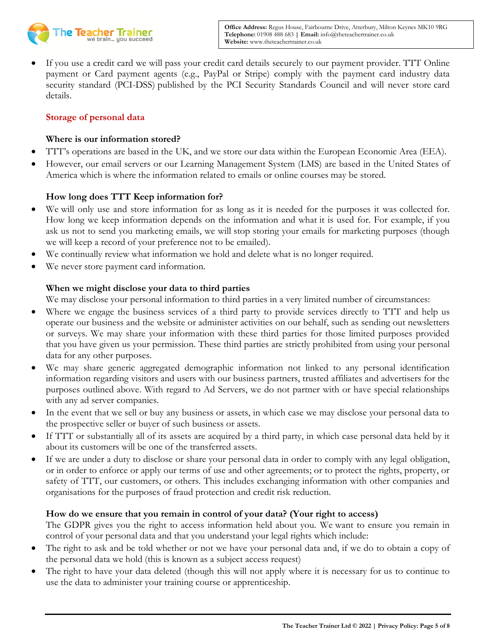

• If you use a credit card we will pass your credit card details securely to our payment provider. TTT Online payment or Card payment agents (e.g., PayPal or Stripe) comply with the payment card industry data security standard (PCI-DSS) published by the PCI Security Standards Council and will never store card details.

# **Storage of personal data**

# **Where is our information stored?**

- TTT's operations are based in the UK, and we store our data within the European Economic Area (EEA).
- However, our email servers or our Learning Management System (LMS) are based in the United States of America which is where the information related to emails or online courses may be stored.

# **How long does TTT Keep information for?**

- We will only use and store information for as long as it is needed for the purposes it was collected for. How long we keep information depends on the information and what it is used for. For example, if you ask us not to send you marketing emails, we will stop storing your emails for marketing purposes (though we will keep a record of your preference not to be emailed).
- We continually review what information we hold and delete what is no longer required.
- We never store payment card information.

# **When we might disclose your data to third parties**

We may disclose your personal information to third parties in a very limited number of circumstances:

- Where we engage the business services of a third party to provide services directly to TTT and help us operate our business and the website or administer activities on our behalf, such as sending out newsletters or surveys. We may share your information with these third parties for those limited purposes provided that you have given us your permission. These third parties are strictly prohibited from using your personal data for any other purposes.
- We may share generic aggregated demographic information not linked to any personal identification information regarding visitors and users with our business partners, trusted affiliates and advertisers for the purposes outlined above. With regard to Ad Servers, we do not partner with or have special relationships with any ad server companies.
- In the event that we sell or buy any business or assets, in which case we may disclose your personal data to the prospective seller or buyer of such business or assets.
- If TTT or substantially all of its assets are acquired by a third party, in which case personal data held by it about its customers will be one of the transferred assets.
- If we are under a duty to disclose or share your personal data in order to comply with any legal obligation, or in order to enforce or apply our terms of use and other agreements; or to protect the rights, property, or safety of TTT, our customers, or others. This includes exchanging information with other companies and organisations for the purposes of fraud protection and credit risk reduction.

## **How do we ensure that you remain in control of your data? (Your right to access)**

The GDPR gives you the right to access information held about you. We want to ensure you remain in control of your personal data and that you understand your legal rights which include:

- The right to ask and be told whether or not we have your personal data and, if we do to obtain a copy of the personal data we hold (this is known as a subject access request)
- The right to have your data deleted (though this will not apply where it is necessary for us to continue to use the data to administer your training course or apprenticeship.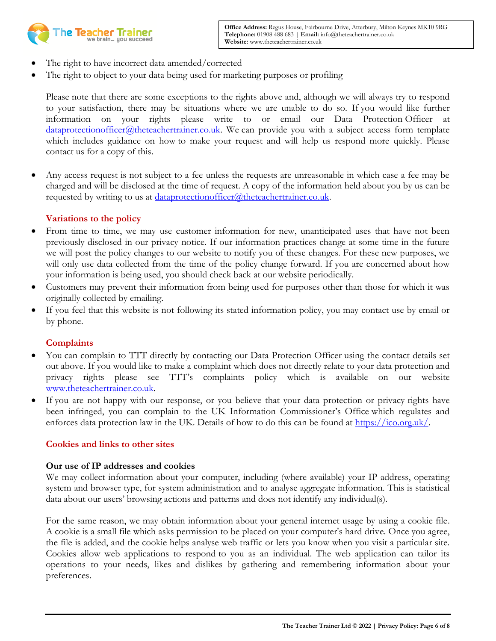

- The right to have incorrect data amended/corrected
- The right to object to your data being used for marketing purposes or profiling

Please note that there are some exceptions to the rights above and, although we will always try to respond to your satisfaction, there may be situations where we are unable to do so. If you would like further information on your rights please write to or email our Data Protection Officer at [dataprotectionofficer@theteachertrainer.co.uk.](mailto:dataprotectionofficer@theteachertrainer.co.uk) We can provide you with a subject access form template which includes guidance on how to make your request and will help us respond more quickly. Please contact us for a copy of this.

• Any access request is not subject to a fee unless the requests are unreasonable in which case a fee may be charged and will be disclosed at the time of request. A copy of the information held about you by us can be requested by writing to us at [dataprotectionofficer@theteachertrainer.co.uk.](mailto:dataprotectionofficer@theteachertrainer.co.uk)

# **Variations to the policy**

- From time to time, we may use customer information for new, unanticipated uses that have not been previously disclosed in our privacy notice. If our information practices change at some time in the future we will post the policy changes to our website to notify you of these changes. For these new purposes, we will only use data collected from the time of the policy change forward. If you are concerned about how your information is being used, you should check back at our website periodically.
- Customers may prevent their information from being used for purposes other than those for which it was originally collected by emailing.
- If you feel that this website is not following its stated information policy, you may contact use by email or by phone.

# **Complaints**

- You can complain to TTT directly by contacting our Data Protection Officer using the contact details set out above. If you would like to make a complaint which does not directly relate to your data protection and privacy rights please see TTT's complaints policy which is available on our website [www.theteachertrainer.co.uk.](http://www.theteachertrainer.co.uk/)
- If you are not happy with our response, or you believe that your data protection or privacy rights have been infringed, you can complain to the UK Information Commissioner's Office which regulates and enforces data protection law in the UK. Details of how to do this can be found at [https://ico.org.uk/.](https://ico.org.uk/)

## **Cookies and links to other sites**

## **Our use of IP addresses and cookies**

We may collect information about your computer, including (where available) your IP address, operating system and browser type, for system administration and to analyse aggregate information. This is statistical data about our users' browsing actions and patterns and does not identify any individual(s).

For the same reason, we may obtain information about your general internet usage by using a cookie file. A cookie is a small file which asks permission to be placed on your computer's hard drive. Once you agree, the file is added, and the cookie helps analyse web traffic or lets you know when you visit a particular site. Cookies allow web applications to respond to you as an individual. The web application can tailor its operations to your needs, likes and dislikes by gathering and remembering information about your preferences.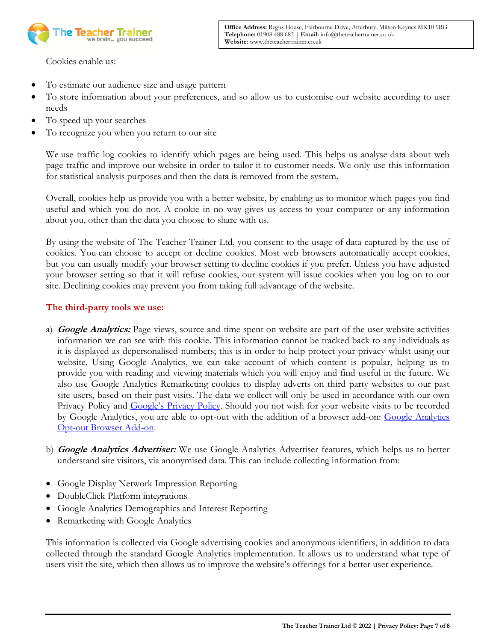

Cookies enable us:

- To estimate our audience size and usage pattern
- To store information about your preferences, and so allow us to customise our website according to user needs
- To speed up your searches
- To recognize you when you return to our site

We use traffic log cookies to identify which pages are being used. This helps us analyse data about web page traffic and improve our website in order to tailor it to customer needs. We only use this information for statistical analysis purposes and then the data is removed from the system.

Overall, cookies help us provide you with a better website, by enabling us to monitor which pages you find useful and which you do not. A cookie in no way gives us access to your computer or any information about you, other than the data you choose to share with us.

By using the website of The Teacher Trainer Ltd, you consent to the usage of data captured by the use of cookies. You can choose to accept or decline cookies. Most web browsers automatically accept cookies, but you can usually modify your browser setting to decline cookies if you prefer. Unless you have adjusted your browser setting so that it will refuse cookies, our system will issue cookies when you log on to our site. Declining cookies may prevent you from taking full advantage of the website.

# **The third-party tools we use:**

- a) **Google Analytics:** Page views, source and time spent on website are part of the user website activities information we can see with this cookie. This information cannot be tracked back to any individuals as it is displayed as depersonalised numbers; this is in order to help protect your privacy whilst using our website. Using Google Analytics, we can take account of which content is popular, helping us to provide you with reading and viewing materials which you will enjoy and find useful in the future. We also use Google Analytics Remarketing cookies to display adverts on third party websites to our past site users, based on their past visits. The data we collect will only be used in accordance with our own Privacy Policy and Google's [Privacy Policy.](https://developers.google.com/analytics/devguides/collection/analyticsjs/cookie-usage) Should you not wish for your website visits to be recorded by Google Analytics, you are able to opt-out with the addition of a browser add-on: Google Analytics [Opt-out Browser Add-on.](https://tools.google.com/dlpage/gaoptout/)
- b) **Google Analytics Advertiser:** We use Google Analytics Advertiser features, which helps us to better understand site visitors, via anonymised data. This can include collecting information from:
- Google Display Network Impression Reporting
- DoubleClick Platform integrations
- Google Analytics Demographics and Interest Reporting
- Remarketing with Google Analytics

This information is collected via Google advertising cookies and anonymous identifiers, in addition to data collected through the standard Google Analytics implementation. It allows us to understand what type of users visit the site, which then allows us to improve the website's offerings for a better user experience.